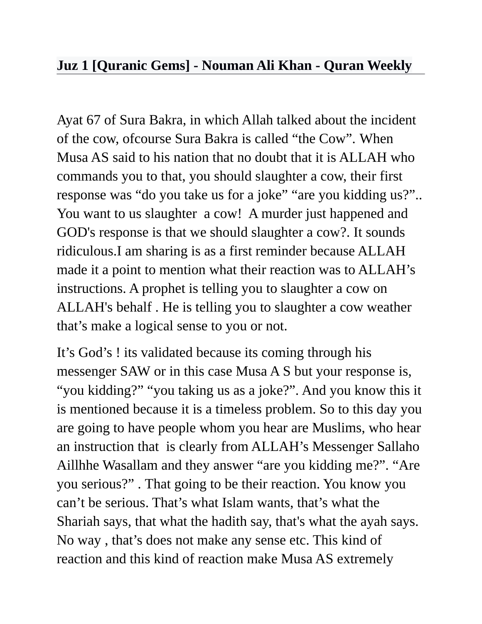## **[Juz 1 \[Quranic Gems\] - Nouman Ali Khan - Quran Weekly](http://vimeo.com/69869007)**

Ayat 67 of Sura Bakra, in which Allah talked about the incident of the cow, ofcourse Sura Bakra is called "the Cow". When Musa AS said to his nation that no doubt that it is ALLAH who commands you to that, you should slaughter a cow, their first response was "do you take us for a joke" "are you kidding us?".. You want to us slaughter a cow! A murder just happened and GOD's response is that we should slaughter a cow?. It sounds ridiculous.I am sharing is as a first reminder because ALLAH made it a point to mention what their reaction was to ALLAH's instructions. A prophet is telling you to slaughter a cow on ALLAH's behalf . He is telling you to slaughter a cow weather that's make a logical sense to you or not.

It's God's ! its validated because its coming through his messenger SAW or in this case Musa A S but your response is, "you kidding?" "you taking us as a joke?". And you know this it is mentioned because it is a timeless problem. So to this day you are going to have people whom you hear are Muslims, who hear an instruction that is clearly from ALLAH's Messenger Sallaho Aillhhe Wasallam and they answer "are you kidding me?". "Are you serious?" . That going to be their reaction. You know you can't be serious. That's what Islam wants, that's what the Shariah says, that what the hadith say, that's what the ayah says. No way , that's does not make any sense etc. This kind of reaction and this kind of reaction make Musa AS extremely